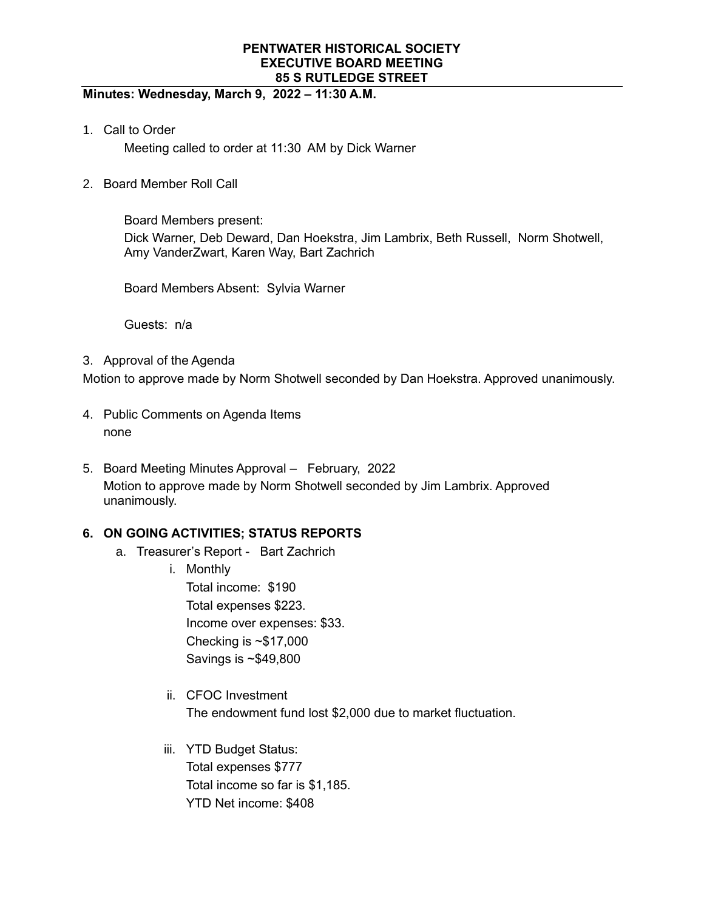## **Minutes: Wednesday, March 9, 2022 – 11:30 A.M.**

1. Call to Order

Meeting called to order at 11:30 AM by Dick Warner

2. Board Member Roll Call

Board Members present: Dick Warner, Deb Deward, Dan Hoekstra, Jim Lambrix, Beth Russell, Norm Shotwell, Amy VanderZwart, Karen Way, Bart Zachrich

Board Members Absent: Sylvia Warner

Guests: n/a

3. Approval of the Agenda

Motion to approve made by Norm Shotwell seconded by Dan Hoekstra. Approved unanimously.

- 4. Public Comments on Agenda Items none
- 5. Board Meeting Minutes Approval February, 2022 Motion to approve made by Norm Shotwell seconded by Jim Lambrix. Approved unanimously.

# **6. ON GOING ACTIVITIES; STATUS REPORTS**

- a. Treasurer's Report Bart Zachrich
	- i. Monthly

Total income: \$190 Total expenses \$223. Income over expenses: \$33. Checking is ~\$17,000 Savings is ~\$49,800

- ii. CFOC Investment The endowment fund lost \$2,000 due to market fluctuation.
- iii. YTD Budget Status: Total expenses \$777 Total income so far is \$1,185. YTD Net income: \$408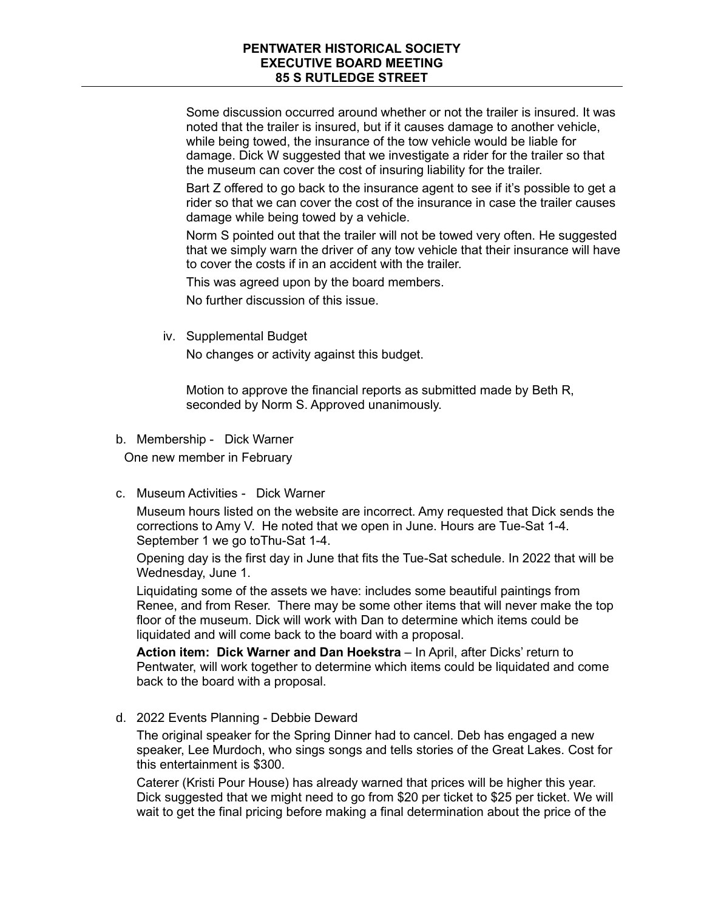Some discussion occurred around whether or not the trailer is insured. It was noted that the trailer is insured, but if it causes damage to another vehicle, while being towed, the insurance of the tow vehicle would be liable for damage. Dick W suggested that we investigate a rider for the trailer so that the museum can cover the cost of insuring liability for the trailer.

Bart Z offered to go back to the insurance agent to see if it's possible to get a rider so that we can cover the cost of the insurance in case the trailer causes damage while being towed by a vehicle.

Norm S pointed out that the trailer will not be towed very often. He suggested that we simply warn the driver of any tow vehicle that their insurance will have to cover the costs if in an accident with the trailer.

This was agreed upon by the board members.

No further discussion of this issue.

iv. Supplemental Budget

No changes or activity against this budget.

Motion to approve the financial reports as submitted made by Beth R, seconded by Norm S. Approved unanimously.

b. Membership - Dick Warner

One new member in February

c. Museum Activities - Dick Warner

Museum hours listed on the website are incorrect. Amy requested that Dick sends the corrections to Amy V. He noted that we open in June. Hours are Tue-Sat 1-4. September 1 we go toThu-Sat 1-4.

Opening day is the first day in June that fits the Tue-Sat schedule. In 2022 that will be Wednesday, June 1.

Liquidating some of the assets we have: includes some beautiful paintings from Renee, and from Reser. There may be some other items that will never make the top floor of the museum. Dick will work with Dan to determine which items could be liquidated and will come back to the board with a proposal.

**Action item: Dick Warner and Dan Hoekstra** – In April, after Dicks' return to Pentwater, will work together to determine which items could be liquidated and come back to the board with a proposal.

d. 2022 Events Planning - Debbie Deward

The original speaker for the Spring Dinner had to cancel. Deb has engaged a new speaker, Lee Murdoch, who sings songs and tells stories of the Great Lakes. Cost for this entertainment is \$300.

Caterer (Kristi Pour House) has already warned that prices will be higher this year. Dick suggested that we might need to go from \$20 per ticket to \$25 per ticket. We will wait to get the final pricing before making a final determination about the price of the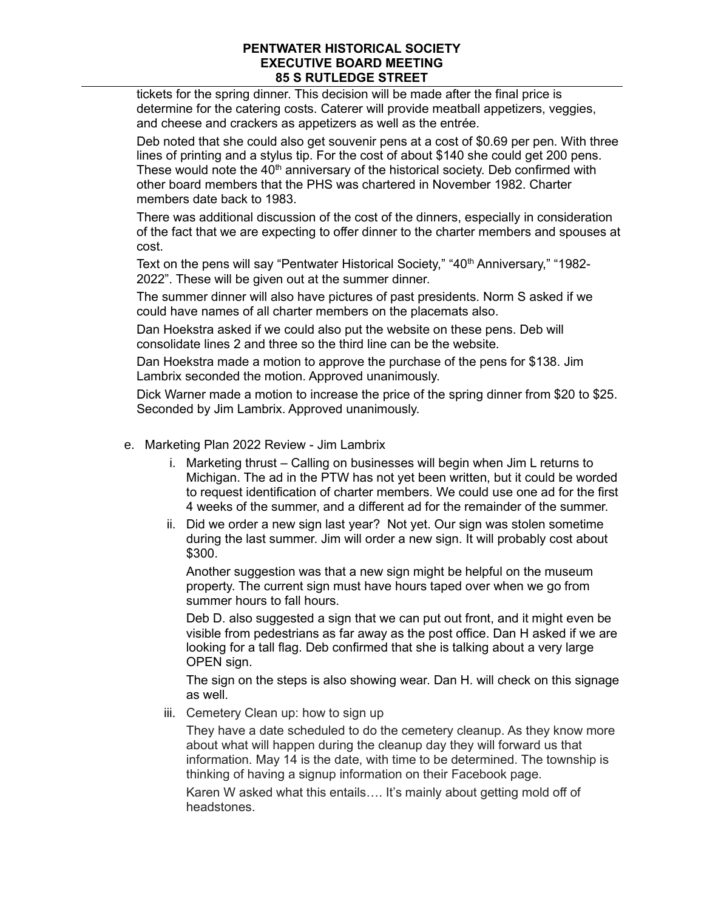tickets for the spring dinner. This decision will be made after the final price is determine for the catering costs. Caterer will provide meatball appetizers, veggies, and cheese and crackers as appetizers as well as the entrée.

Deb noted that she could also get souvenir pens at a cost of \$0.69 per pen. With three lines of printing and a stylus tip. For the cost of about \$140 she could get 200 pens. These would note the  $40<sup>th</sup>$  anniversary of the historical society. Deb confirmed with other board members that the PHS was chartered in November 1982. Charter members date back to 1983.

There was additional discussion of the cost of the dinners, especially in consideration of the fact that we are expecting to offer dinner to the charter members and spouses at cost.

Text on the pens will say "Pentwater Historical Society," "40<sup>th</sup> Anniversary," "1982-2022". These will be given out at the summer dinner.

The summer dinner will also have pictures of past presidents. Norm S asked if we could have names of all charter members on the placemats also.

Dan Hoekstra asked if we could also put the website on these pens. Deb will consolidate lines 2 and three so the third line can be the website.

Dan Hoekstra made a motion to approve the purchase of the pens for \$138. Jim Lambrix seconded the motion. Approved unanimously.

Dick Warner made a motion to increase the price of the spring dinner from \$20 to \$25. Seconded by Jim Lambrix. Approved unanimously.

- e. Marketing Plan 2022 Review Jim Lambrix
	- i. Marketing thrust Calling on businesses will begin when Jim L returns to Michigan. The ad in the PTW has not yet been written, but it could be worded to request identification of charter members. We could use one ad for the first 4 weeks of the summer, and a different ad for the remainder of the summer.
	- ii. Did we order a new sign last year? Not yet. Our sign was stolen sometime during the last summer. Jim will order a new sign. It will probably cost about \$300.

Another suggestion was that a new sign might be helpful on the museum property. The current sign must have hours taped over when we go from summer hours to fall hours.

Deb D. also suggested a sign that we can put out front, and it might even be visible from pedestrians as far away as the post office. Dan H asked if we are looking for a tall flag. Deb confirmed that she is talking about a very large OPEN sign.

The sign on the steps is also showing wear. Dan H. will check on this signage as well.

iii. Cemetery Clean up: how to sign up

They have a date scheduled to do the cemetery cleanup. As they know more about what will happen during the cleanup day they will forward us that information. May 14 is the date, with time to be determined. The township is thinking of having a signup information on their Facebook page.

Karen W asked what this entails…. It's mainly about getting mold off of headstones.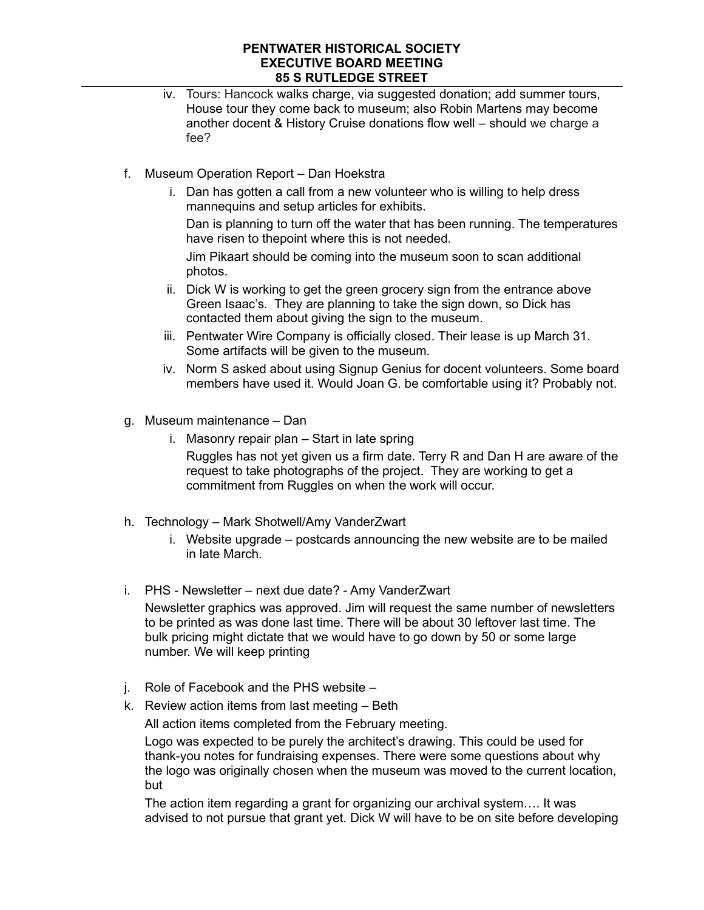- iv. Tours: Hancock walks charge, via suggested donation; add summer tours, House tour they come back to museum; also Robin Martens may become another docent & History Cruise donations flow well – should we charge a fee?
- f. Museum Operation Report Dan Hoekstra
	- i. Dan has gotten a call from a new volunteer who is willing to help dress mannequins and setup articles for exhibits.

Dan is planning to turn off the water that has been running. The temperatures have risen to thepoint where this is not needed.

Jim Pikaart should be coming into the museum soon to scan additional photos.

- ii. Dick W is working to get the green grocery sign from the entrance above Green Isaac's. They are planning to take the sign down, so Dick has contacted them about giving the sign to the museum.
- iii. Pentwater Wire Company is officially closed. Their lease is up March 31. Some artifacts will be given to the museum.
- iv. Norm S asked about using Signup Genius for docent volunteers. Some board members have used it. Would Joan G. be comfortable using it? Probably not.
- g. Museum maintenance Dan
	- i. Masonry repair plan Start in late spring Ruggles has not yet given us a firm date. Terry R and Dan H are aware of the request to take photographs of the project. They are working to get a commitment from Ruggles on when the work will occur.
- h. Technology Mark Shotwell/Amy VanderZwart
	- i. Website upgrade postcards announcing the new website are to be mailed in late March.
- i. PHS Newsletter next due date? Amy VanderZwart

Newsletter graphics was approved. Jim will request the same number of newsletters to be printed as was done last time. There will be about 30 leftover last time. The bulk pricing might dictate that we would have to go down by 50 or some large number. We will keep printing

- j. Role of Facebook and the PHS website –
- k. Review action items from last meeting Beth

All action items completed from the February meeting.

Logo was expected to be purely the architect's drawing. This could be used for thank-you notes for fundraising expenses. There were some questions about why the logo was originally chosen when the museum was moved to the current location, but

The action item regarding a grant for organizing our archival system…. It was advised to not pursue that grant yet. Dick W will have to be on site before developing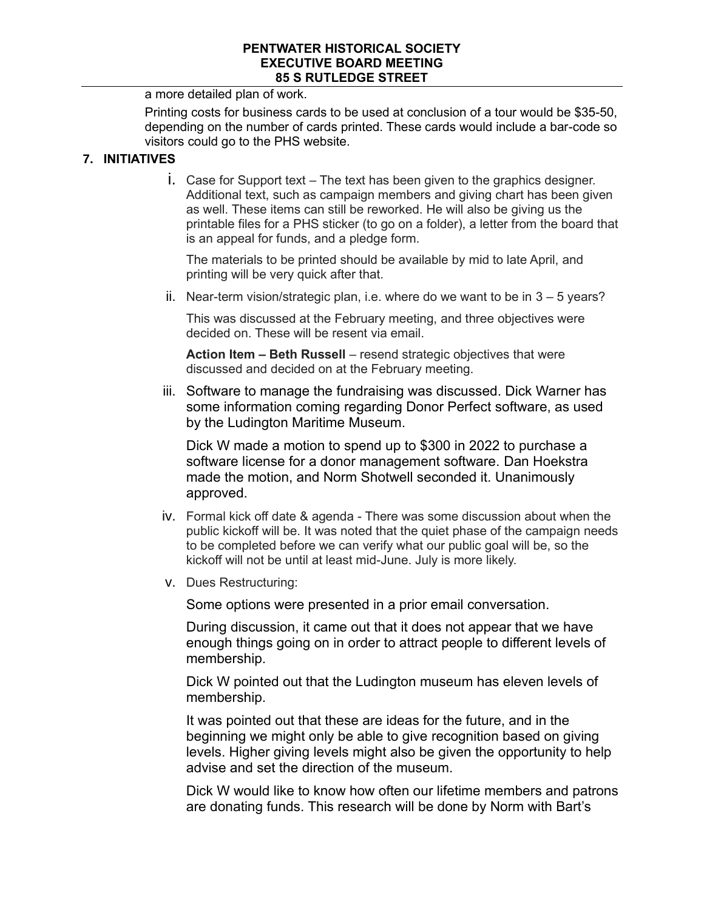a more detailed plan of work.

Printing costs for business cards to be used at conclusion of a tour would be \$35-50, depending on the number of cards printed. These cards would include a bar-code so visitors could go to the PHS website.

## **7. INITIATIVES**

i. Case for Support text – The text has been given to the graphics designer. Additional text, such as campaign members and giving chart has been given as well. These items can still be reworked. He will also be giving us the printable files for a PHS sticker (to go on a folder), a letter from the board that is an appeal for funds, and a pledge form.

The materials to be printed should be available by mid to late April, and printing will be very quick after that.

ii. Near-term vision/strategic plan, i.e. where do we want to be in 3 – 5 years?

This was discussed at the February meeting, and three objectives were decided on. These will be resent via email.

**Action Item – Beth Russell** – resend strategic objectives that were discussed and decided on at the February meeting.

iii. Software to manage the fundraising was discussed. Dick Warner has some information coming regarding Donor Perfect software, as used by the Ludington Maritime Museum.

Dick W made a motion to spend up to \$300 in 2022 to purchase a software license for a donor management software. Dan Hoekstra made the motion, and Norm Shotwell seconded it. Unanimously approved.

- iv. Formal kick off date & agenda There was some discussion about when the public kickoff will be. It was noted that the quiet phase of the campaign needs to be completed before we can verify what our public goal will be, so the kickoff will not be until at least mid-June. July is more likely.
- v. Dues Restructuring:

Some options were presented in a prior email conversation.

During discussion, it came out that it does not appear that we have enough things going on in order to attract people to different levels of membership.

Dick W pointed out that the Ludington museum has eleven levels of membership.

It was pointed out that these are ideas for the future, and in the beginning we might only be able to give recognition based on giving levels. Higher giving levels might also be given the opportunity to help advise and set the direction of the museum.

Dick W would like to know how often our lifetime members and patrons are donating funds. This research will be done by Norm with Bart's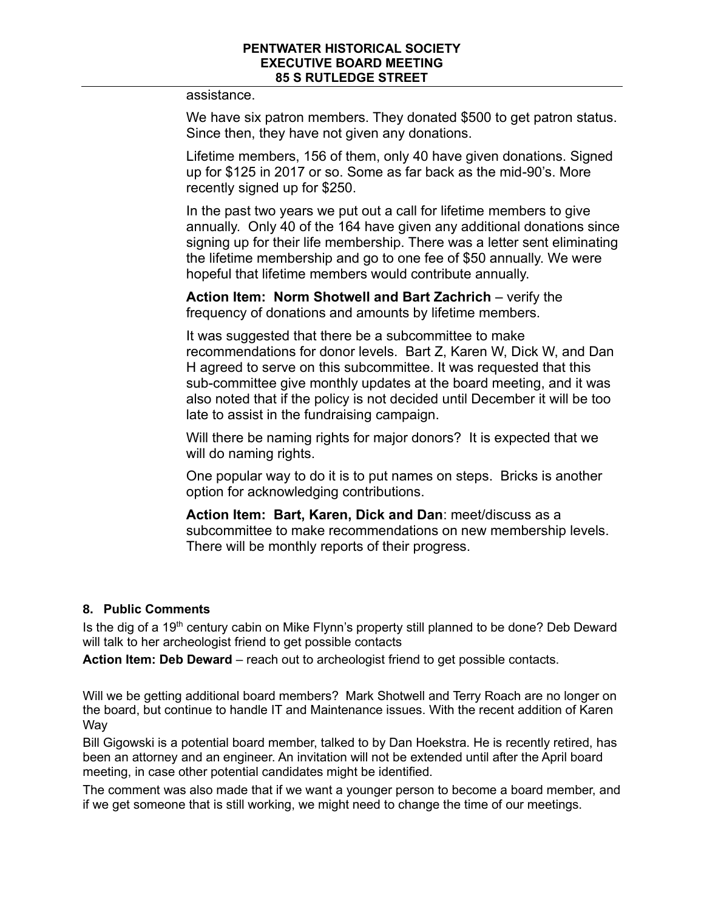assistance.

We have six patron members. They donated \$500 to get patron status. Since then, they have not given any donations.

Lifetime members, 156 of them, only 40 have given donations. Signed up for \$125 in 2017 or so. Some as far back as the mid-90's. More recently signed up for \$250.

In the past two years we put out a call for lifetime members to give annually. Only 40 of the 164 have given any additional donations since signing up for their life membership. There was a letter sent eliminating the lifetime membership and go to one fee of \$50 annually. We were hopeful that lifetime members would contribute annually.

**Action Item: Norm Shotwell and Bart Zachrich** – verify the frequency of donations and amounts by lifetime members.

It was suggested that there be a subcommittee to make recommendations for donor levels. Bart Z, Karen W, Dick W, and Dan H agreed to serve on this subcommittee. It was requested that this sub-committee give monthly updates at the board meeting, and it was also noted that if the policy is not decided until December it will be too late to assist in the fundraising campaign.

Will there be naming rights for major donors? It is expected that we will do naming rights.

One popular way to do it is to put names on steps. Bricks is another option for acknowledging contributions.

**Action Item: Bart, Karen, Dick and Dan**: meet/discuss as a subcommittee to make recommendations on new membership levels. There will be monthly reports of their progress.

## **8. Public Comments**

Is the dig of a 19<sup>th</sup> century cabin on Mike Flynn's property still planned to be done? Deb Deward will talk to her archeologist friend to get possible contacts

**Action Item: Deb Deward** – reach out to archeologist friend to get possible contacts.

Will we be getting additional board members? Mark Shotwell and Terry Roach are no longer on the board, but continue to handle IT and Maintenance issues. With the recent addition of Karen Way

Bill Gigowski is a potential board member, talked to by Dan Hoekstra. He is recently retired, has been an attorney and an engineer. An invitation will not be extended until after the April board meeting, in case other potential candidates might be identified.

The comment was also made that if we want a younger person to become a board member, and if we get someone that is still working, we might need to change the time of our meetings.